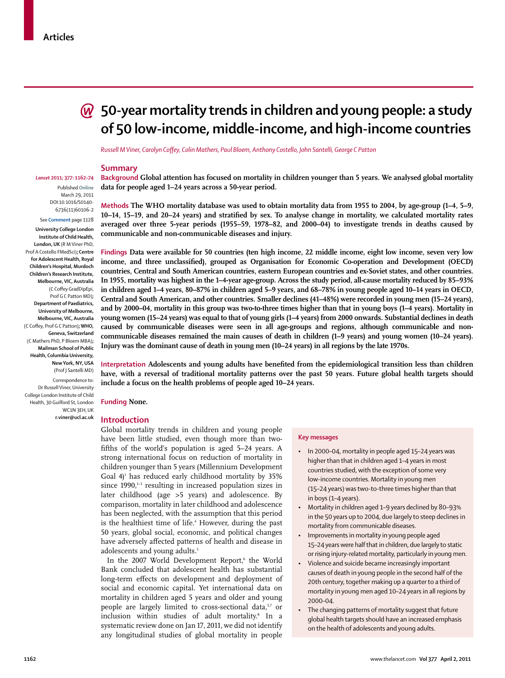*Lancet* **2011; 377: 1162–74** Published **Online** March 29, 2011 DOI:10.1016/S0140- 6736(11)60106-2 See **Comment** page 1128 **University College London Institute of Child Health, London, UK** (R M Viner PhD, Prof A Costello FMedSci)**; Centre for Adolescent Health, Royal Children's Hospital, Murdoch Children's Research Institute, Melbourne, VIC, Australia**  (C Coffey GradDipEpi, Prof G C Patton MD)**; Department of Paediatrics, University of Melbourne, Melbourne, VIC, Australia** (C Coffey, Prof G C Patton); WHO, **Geneva, Switzerland** (C Mathers PhD, P Bloem MBA)**; Mailman School of Public Health, Columbia University, New York, NY, USA** (Prof J Santelli MD) Correspondence to: Dr Russell Viner, University College London Institute of Child Health, 30 Guilford St, London

# **50-year mortality trends in children and young people: a study of 50 low-income, middle-income, and high-income countries**

*Russell M Viner, Carolyn Coff ey, Colin Mathers, Paul Bloem, Anthony Costello, John Santelli, George C Patton*

# **Summary**

**Background Global attention has focused on mortality in children younger than 5 years. We analysed global mortality data for people aged 1–24 years across a 50-year period.**

**Methods The WHO mortality database was used to obtain mortality data from 1955 to 2004, by age-group (1–4, 5–9, 10–14, 15–19, and 20–24 years) and stratified by sex. To analyse change in mortality, we calculated mortality rates averaged over three 5-year periods (1955–59, 1978–82, and 2000–04) to investigate trends in deaths caused by communicable and non-communicable diseases and injury.**

**Findings Data were available for 50 countries (ten high income, 22 middle income, eight low income, seven very low** income, and three unclassified), grouped as Organisation for Economic Co-operation and Development (OECD) **countries, Central and South American countries, eastern European countries and ex-Soviet states, and other countries. In 1955, mortality was highest in the 1–4-year age-group. Across the study period, all-cause mortality reduced by 85–93% in children aged 1–4 years, 80–87% in children aged 5–9 years, and 68–78% in young people aged 10–14 years in OECD, Central and South American, and other countries. Smaller declines (41–48%) were recorded in young men (15–24 years), and by 2000–04, mortality in this group was two-to-three times higher than that in young boys (1–4 years). Mortality in young women (15–24 years) was equal to that of young girls (1–4 years) from 2000 onwards. Substantial declines in death caused by communicable diseases were seen in all age-groups and regions, although communicable and noncommunicable diseases remained the main causes of death in children (1–9 years) and young women (10–24 years). Injury was the dominant cause of death in young men (10–24 years) in all regions by the late 1970s.**

Interpretation Adolescents and young adults have benefited from the epidemiological transition less than children **have, with a reversal of traditional mortality patterns over the past 50 years. Future global health targets should include a focus on the health problems of people aged 10–24 years.**

**Funding None.**

WC<sub>1</sub>N<sub>2EH</sub> UK **r.viner@ucl.ac.uk**

#### **Introduction**

Global mortality trends in children and young people have been little studied, even though more than twofifths of the world's population is aged 5-24 years. A strong international focus on reduction of mortality in children younger than 5 years (Millennium Development Goal  $4$ <sup>1</sup> has reduced early childhood mortality by 35% since  $1990$ ,<sup>1-3</sup> resulting in increased population sizes in later childhood (age >5 years) and adolescence. By comparison, mortality in later childhood and adolescence has been neglected, with the assumption that this period is the healthiest time of life.4 However, during the past 50 years, global social, economic, and political changes have adversely affected patterns of health and disease in adolescents and young adults.<sup>5</sup>

In the 2007 World Development Report,<sup>6</sup> the World Bank concluded that adolescent health has substantial long-term effects on development and deployment of social and economic capital. Yet international data on mortality in children aged 5 years and older and young people are largely limited to cross-sectional data,<sup>5,7</sup> or inclusion within studies of adult mortality.8 In a systematic review done on Jan 17, 2011, we did not identify any longitudinal studies of global mortality in people

## **Key messages**

- In 2000–04, mortality in people aged 15–24 years was higher than that in children aged 1–4 years in most countries studied, with the exception of some very low-income countries. Mortality in young men (15–24 years) was two-to-three times higher than that in boys (1–4 years).
- Mortality in children aged 1–9 years declined by 80–93% in the 50 years up to 2004, due largely to steep declines in mortality from communicable diseases.
- Improvements in mortality in young people aged 15–24 years were half that in children, due largely to static or rising injury-related mortality, particularly in young men.
- Violence and suicide became increasingly important causes of death in young people in the second half of the 20th century, together making up a quarter to a third of mortality in young men aged 10–24 years in all regions by 2000–04.
- The changing patterns of mortality suggest that future global health targets should have an increased emphasis on the health of adolescents and young adults.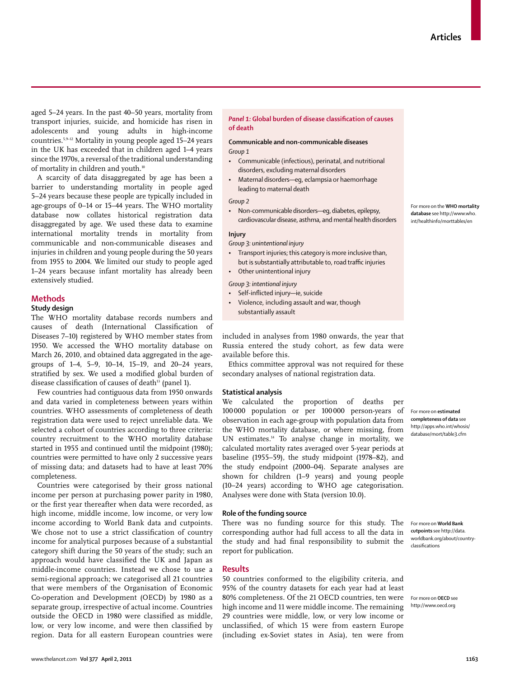aged 5–24 years. In the past 40–50 years, mortality from transport injuries, suicide, and homicide has risen in adolescents and young adults in high-income countries.5,9–12 Mortality in young people aged 15–24 years in the UK has exceeded that in children aged 1–4 years since the 1970s, a reversal of the traditional understanding of mortality in children and youth.<sup>10</sup>

A scarcity of data disaggregated by age has been a barrier to understanding mortality in people aged 5–24 years because these people are typically included in age-groups of 0–14 or 15–44 years. The WHO mortality database now collates historical registration data disaggregated by age. We used these data to examine international mortality trends in mortality from communicable and non-communicable diseases and injuries in children and young people during the 50 years from 1955 to 2004. We limited our study to people aged 1–24 years because infant mortality has already been extensively studied.

# **Methods**

# **Study design**

The WHO mortality database records numbers and causes of death (International Classification of Diseases 7–10) registered by WHO member states from 1950. We accessed the WHO mortality database on March 26, 2010, and obtained data aggregated in the agegroups of 1–4, 5–9, 10–14, 15–19, and 20–24 years, stratified by sex. We used a modified global burden of disease classification of causes of death<sup>13</sup> (panel 1).

Few countries had contiguous data from 1950 onwards and data varied in completeness between years within countries. WHO assessments of completeness of death registration data were used to reject unreliable data. We selected a cohort of countries according to three criteria: country recruitment to the WHO mortality database started in 1955 and continued until the midpoint (1980); countries were permitted to have only 2 successive years of missing data; and datasets had to have at least 70% completeness.

Countries were categorised by their gross national income per person at purchasing power parity in 1980, or the first year thereafter when data were recorded, as high income, middle income, low income, or very low income according to World Bank data and cutpoints. We chose not to use a strict classification of country income for analytical purposes because of a substantial category shift during the 50 years of the study; such an approach would have classified the UK and Japan as middle-income countries. Instead we chose to use a semi-regional approach; we categorised all 21 countries that were members of the Organisation of Economic Co-operation and Development (OECD) by 1980 as a separate group, irrespective of actual income. Countries outside the OECD in 1980 were classified as middle, low, or very low income, and were then classified by region. Data for all eastern European countries were

# **Panel 1: Global burden of disease classification of causes of death**

# **Communicable and non-communicable diseases** *Group 1*

- Communicable (infectious), perinatal, and nutritional disorders, excluding maternal disorders
- Maternal disorders—eg, eclampsia or haemorrhage leading to maternal death

## *Group 2*

• Non-communicable disorders—eg, diabetes, epilepsy, cardiovascular disease, asthma, and mental health disorders

## **Injury**

*Group 3: unintentional injury*

- Transport injuries; this category is more inclusive than, but is substantially attributable to, road traffic injuries
- Other unintentional injury

*Group 3: intentional injury* 

- Self-inflicted injury-ie, suicide
- Violence, including assault and war, though substantially assault

included in analyses from 1980 onwards, the year that Russia entered the study cohort, as few data were available before this.

Ethics committee approval was not required for these secondary analyses of national registration data.

#### **Statistical analysis**

We calculated the proportion of deaths per 100 000 population or per 100 000 person-years of observation in each age-group with population data from the WHO mortality database, or where missing, from UN estimates.14 To analyse change in mortality, we calculated mortality rates averaged over 5-year periods at baseline (1955–59), the study midpoint (1978–82), and the study endpoint (2000–04). Separate analyses are shown for children (1–9 years) and young people (10–24 years) according to WHO age categorisation. Analyses were done with Stata (version 10.0).

# **Role of the funding source**

There was no funding source for this study. The corresponding author had full access to all the data in the study and had final responsibility to submit the report for publication.

#### **Results**

80% completeness. Of the 21 OECD countries, ten were For more on OECD see high income and 11 were middle income. The remaining http://www.oecd.org 50 countries conformed to the eligibility criteria, and 95% of the country datasets for each year had at least 29 countries were middle, low, or very low income or unclassified, of which 15 were from eastern Europe (including ex-Soviet states in Asia), ten were from

For more on the **WHO mortality database** see http://www.who. int/healthinfo/morttables/en

For more on **estimated completeness of data** see http://apps.who.int/whosis/ database/mort/table3.cfm

For more on **World Bank cutpoints** see http://data. worldbank.org/about/countryclassifications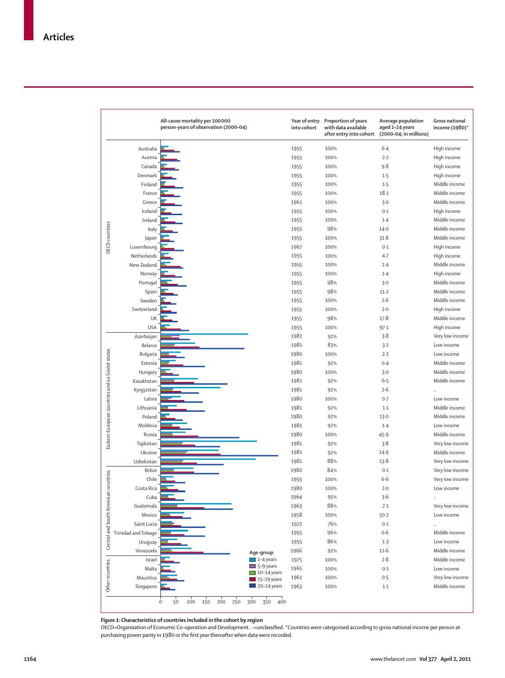|                                                 |                     | All-cause mortality per 100000<br>person-years of observation (2000-04) |                                        | Year of entry<br>into cohort | Proportion of years<br>with data available<br>after entry into cohort | Average population<br>aged 1-24 years<br>(2000-04; in millions) | Gross national<br>income (1980)* |
|-------------------------------------------------|---------------------|-------------------------------------------------------------------------|----------------------------------------|------------------------------|-----------------------------------------------------------------------|-----------------------------------------------------------------|----------------------------------|
|                                                 | Australia           |                                                                         |                                        | 1955                         | 100%                                                                  | $6 - 4$                                                         | High income                      |
|                                                 | Austria             |                                                                         |                                        | 1955                         | 100%                                                                  | 2.2                                                             | High income                      |
|                                                 | Canada              |                                                                         |                                        | 1955                         | 100%                                                                  | 9.8                                                             | High income                      |
|                                                 | Denmark             |                                                                         |                                        | 1955                         | 100%                                                                  | 1.5                                                             | High income                      |
|                                                 | Finland             |                                                                         |                                        | 1955                         | 100%                                                                  | 1.5                                                             | Middle income                    |
|                                                 | France              |                                                                         |                                        | 1955                         | 100%                                                                  | 18.1                                                            | Middle income                    |
|                                                 | Greece              |                                                                         |                                        | 1961                         | 100%                                                                  | 3.0                                                             | Middle income                    |
|                                                 | Iceland             |                                                                         |                                        | 1955                         | 100%                                                                  | 0.1                                                             | High income                      |
|                                                 | Ireland             |                                                                         |                                        | 1955                         | 100%                                                                  | 1.4                                                             | Middle income                    |
|                                                 | Italy               |                                                                         |                                        | 1955                         | 98%                                                                   | $14-0$                                                          | Middle income                    |
| <b>OECD</b> countries                           | Japan               |                                                                         |                                        | 1955                         | 100%                                                                  | 31.8                                                            | Middle income                    |
|                                                 | Luxembourg          |                                                                         |                                        | 1967                         | 100%                                                                  | 0.1                                                             | High income                      |
|                                                 | Netherlands         |                                                                         |                                        | 1955                         | 100%                                                                  | $4 - 7$                                                         | High income                      |
|                                                 |                     |                                                                         |                                        |                              | 100%                                                                  | 1.4                                                             | Middle income                    |
|                                                 | New Zealand         |                                                                         |                                        | 1955<br>1955                 | 100%                                                                  | $1-4$                                                           | High income                      |
|                                                 | Norway              |                                                                         |                                        |                              |                                                                       |                                                                 | Middle income                    |
|                                                 | Portugal            |                                                                         |                                        | 1955                         | 98%                                                                   | $3-0$                                                           | Middle income                    |
|                                                 | Spain               |                                                                         |                                        | 1955                         | 98%                                                                   | $11-2$                                                          |                                  |
|                                                 | Sweden              |                                                                         |                                        | 1955                         | 100%                                                                  | 2.6                                                             | Middle income                    |
|                                                 | Switzerland         |                                                                         |                                        | 1955                         | 100%                                                                  | $2-0$                                                           | High income                      |
|                                                 | UK                  |                                                                         |                                        | 1955                         | 98%                                                                   | 17.8                                                            | Middle income                    |
|                                                 | <b>USA</b>          |                                                                         |                                        | 1955                         | 100%                                                                  | 97.1                                                            | High income                      |
| Eastern European countries and ex-Soviet states | Azerbaijan          |                                                                         |                                        | 1981                         | 92%                                                                   | 3.8                                                             | Very low income                  |
|                                                 | Belarus             |                                                                         |                                        | 1981                         | 83%                                                                   | 3.2                                                             | Low income                       |
|                                                 | Bulgaria            |                                                                         |                                        | 1980                         | 100%                                                                  | 2.2                                                             | Low income                       |
|                                                 | Estonia             |                                                                         |                                        | 1981                         | 92%                                                                   | 0.4                                                             | Middle income                    |
|                                                 | Hungary             |                                                                         |                                        | 1980                         | 100%                                                                  | 3.0                                                             | Middle income                    |
|                                                 | Kazakhstan          |                                                                         |                                        | 1981                         | 92%                                                                   | $6 - 5$                                                         | Middle income                    |
|                                                 | Kyrgyzstan          |                                                                         |                                        | 1981                         | 92%                                                                   | 2.6                                                             | $\ddot{\phantom{a}}$             |
|                                                 | Latvia              |                                                                         |                                        | 1980                         | 100%                                                                  | 0.7                                                             | Low income                       |
|                                                 | Lithuania           |                                                                         |                                        | 1981                         | 92%                                                                   | $1-1$                                                           | Middle income                    |
|                                                 | Poland              |                                                                         |                                        | 1980                         | 92%                                                                   | 13.0                                                            | Middle income                    |
|                                                 | Moldova             |                                                                         |                                        | 1981                         | 92%                                                                   | $1-4$                                                           | Low income                       |
|                                                 | Russia              |                                                                         |                                        | 1980                         | 100%                                                                  | 45.9                                                            | Middle income                    |
|                                                 | Tajikistan          |                                                                         |                                        | 1981                         | 92%                                                                   | 3.8                                                             | Very low income                  |
|                                                 | Ukraine             |                                                                         |                                        | 1981                         | 92%                                                                   | 14.9                                                            | Middle income                    |
|                                                 | Uzbekistan          |                                                                         |                                        | 1981                         | 88%                                                                   | 13.8                                                            | Very low income                  |
|                                                 | Belize              |                                                                         |                                        | 1980                         | 84%                                                                   | 0.1                                                             | Very low income                  |
|                                                 | Chile               |                                                                         |                                        | 1955                         | 100%                                                                  | $6-6$                                                           | Very low income                  |
|                                                 | Costa Rica          |                                                                         |                                        | 1980                         | 100%                                                                  | $2-0$                                                           | Low income                       |
|                                                 | Cuba                |                                                                         |                                        | 1964                         | 95%                                                                   | 3.6                                                             |                                  |
| Central and South American countries            | Guatemala           |                                                                         |                                        | 1963                         | 88%                                                                   | 7.1                                                             | Very low income                  |
|                                                 | Mexico              |                                                                         |                                        | 1958                         | 100%                                                                  | $50 - 2$                                                        | Low income                       |
|                                                 | Saint Lucia         |                                                                         |                                        | 1972                         | 76%                                                                   | $0.1\,$                                                         |                                  |
|                                                 | Trinidad and Tobago |                                                                         |                                        | 1955                         | 96%                                                                   | 0.6                                                             | Middle income                    |
|                                                 | Uruguay             |                                                                         |                                        | 1955                         | 86%                                                                   | $1-3$                                                           | Low income                       |
|                                                 | Venezuela           |                                                                         | Age-group                              | 1966                         | 92%                                                                   | $12-6$                                                          | Middle income                    |
|                                                 | Israel              |                                                                         | $\Box$ 1-4 years                       | 1975                         | 100%                                                                  | 2.8                                                             | Middle income                    |
|                                                 | Malta               |                                                                         | $\Box$ 5-9 years<br>$\Box$ 10-14 years | 1965                         | 100%                                                                  | 0.1                                                             | Low income                       |
|                                                 | Mauritius           |                                                                         | $\blacksquare$ 15-19 years             | 1961                         | 100%                                                                  | 0.5                                                             | Very low income                  |
| Other countries                                 | Singapore           |                                                                         | $\Box$ 20-24 years                     | 1963                         | 100%                                                                  | $1-1$                                                           | Middle income                    |
|                                                 |                     | $\mathbf 0$<br>50<br>100<br>150<br>200<br>250<br>300                    | 350<br>400                             |                              |                                                                       |                                                                 |                                  |

*Figure 1:* **Characteristics of countries included in the cohort by region**

OECD=Organisation of Economic Co-operation and Development. ··=unclassifi ed. \*Countries were categorised according to gross national income per person at purchasing power parity in 1980 or the first year thereafter when data were recorded.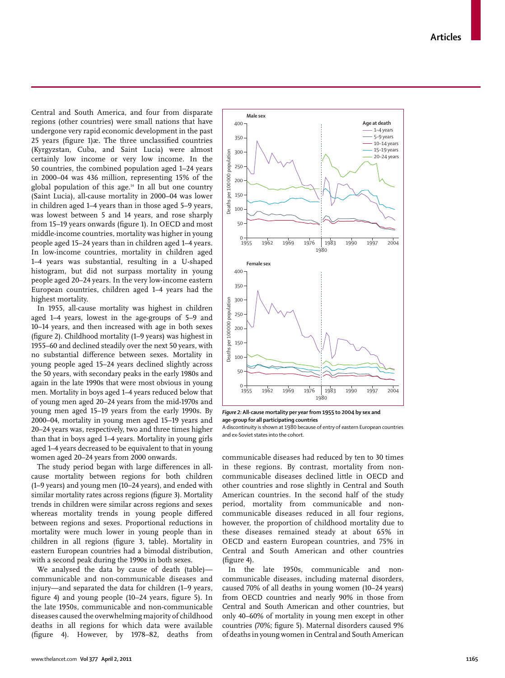**Articles**

Central and South America, and four from disparate regions (other countries) were small nations that have undergone very rapid economic development in the past 25 years (figure 1) $\infty$ . The three unclassified countries (Kyrgyzstan, Cuba, and Saint Lucia) were almost certainly low income or very low income. In the 50 countries, the combined population aged 1–24 years in 2000–04 was 436 million, representing 15% of the global population of this age.14 In all but one country (Saint Lucia), all-cause mortality in 2000–04 was lower in children aged 1–4 years than in those aged 5–9 years, was lowest between 5 and 14 years, and rose sharply from 15–19 years onwards (figure 1). In OECD and most middle-income countries, mortality was higher in young people aged 15–24 years than in children aged 1–4 years. In low-income countries, mortality in children aged 1–4 years was substantial, resulting in a U-shaped histogram, but did not surpass mortality in young people aged 20–24 years. In the very low-income eastern European countries, children aged 1–4 years had the highest mortality.

In 1955, all-cause mortality was highest in children aged 1–4 years, lowest in the age-groups of 5–9 and 10–14 years, and then increased with age in both sexes (figure 2). Childhood mortality  $(1-9$  years) was highest in 1955–60 and declined steadily over the next 50 years, with no substantial difference between sexes. Mortality in young people aged 15–24 years declined slightly across the 50 years, with secondary peaks in the early 1980s and again in the late 1990s that were most obvious in young men. Mortality in boys aged 1–4 years reduced below that of young men aged 20–24 years from the mid-1970s and young men aged 15–19 years from the early 1990s. By 2000–04, mortality in young men aged 15–19 years and 20–24 years was, respectively, two and three times higher than that in boys aged 1–4 years. Mortality in young girls aged 1–4 years decreased to be equivalent to that in young women aged 20–24 years from 2000 onwards.

The study period began with large differences in allcause mortality between regions for both children (1–9 years) and young men (10–24 years), and ended with similar mortality rates across regions (figure 3). Mortality trends in children were similar across regions and sexes whereas mortality trends in young people differed between regions and sexes. Proportional reductions in mortality were much lower in young people than in children in all regions (figure 3, table). Mortality in eastern European countries had a bimodal distribution, with a second peak during the 1990s in both sexes.

We analysed the data by cause of death (table) communicable and non-communicable diseases and injury—and separated the data for children (1–9 years, figure 4) and young people (10-24 years, figure 5). In the late 1950s, communicable and non-communicable diseases caused the overwhelming majority of childhood deaths in all regions for which data were available (figure 4). However, by  $1978-82$ , deaths from



*Figure 2:* **All-cause mortality per year from 1955 to 2004 by sex and age-group for all participating countries** A discontinuity is shown at 1980 because of entry of eastern European countries

and ex-Soviet states into the cohort.

communicable diseases had reduced by ten to 30 times in these regions. By contrast, mortality from noncommunicable diseases declined little in OECD and other countries and rose slightly in Central and South American countries. In the second half of the study period, mortality from communicable and noncommunicable diseases reduced in all four regions, however, the proportion of childhood mortality due to these diseases remained steady at about 65% in OECD and eastern European countries, and 75% in Central and South American and other countries  $(figure 4)$ .

In the late 1950s, communicable and noncommunicable diseases, including maternal disorders, caused 70% of all deaths in young women (10–24 years) from OECD countries and nearly 90% in those from Central and South American and other countries, but only 40–60% of mortality in young men except in other countries (70%; figure 5). Maternal disorders caused 9% of deaths in young women in Central and South American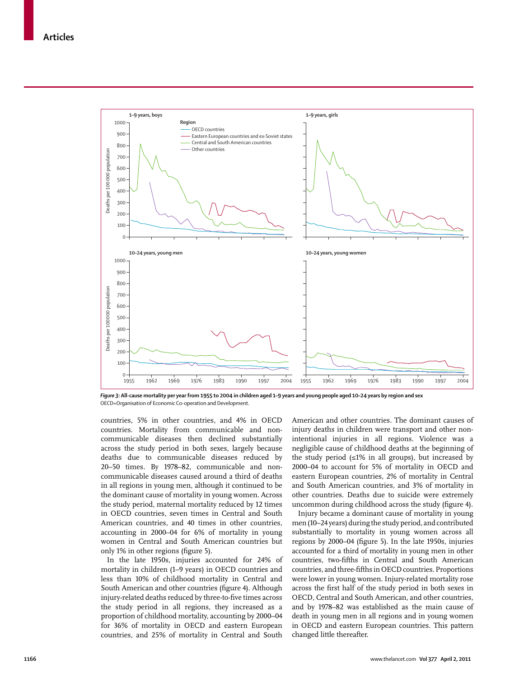

*Figure 3:* **All-cause mortality per year from 1955 to 2004 in children aged 1–9 years and young people aged 10–24 years by region and sex** OECD=Organisation of Economic Co-operation and Development.

countries, 5% in other countries, and 4% in OECD countries. Mortality from communicable and noncommunicable diseases then declined substantially across the study period in both sexes, largely because deaths due to communicable diseases reduced by 20–50 times. By 1978–82, communicable and noncommunicable diseases caused around a third of deaths in all regions in young men, although it continued to be the dominant cause of mortality in young women. Across the study period, maternal mortality reduced by 12 times in OECD countries, seven times in Central and South American countries, and 40 times in other countries, accounting in 2000–04 for 6% of mortality in young women in Central and South American countries but only 1% in other regions (figure 5).

In the late 1950s, injuries accounted for 24% of mortality in children (1–9 years) in OECD countries and less than 10% of childhood mortality in Central and South American and other countries (figure 4). Although injury-related deaths reduced by three-to-five times across the study period in all regions, they increased as a proportion of childhood mortality, accounting by 2000–04 for 36% of mortality in OECD and eastern European countries, and 25% of mortality in Central and South

American and other countries. The dominant causes of injury deaths in children were transport and other nonintentional injuries in all regions. Violence was a negligible cause of childhood deaths at the beginning of the study period  $(\leq 1\%$  in all groups), but increased by 2000–04 to account for 5% of mortality in OECD and eastern European countries, 2% of mortality in Central and South American countries, and 3% of mortality in other countries. Deaths due to suicide were extremely uncommon during childhood across the study (figure 4).

Injury became a dominant cause of mortality in young men (10–24 years) during the study period, and contributed substantially to mortality in young women across all regions by 2000-04 (figure 5). In the late 1950s, injuries accounted for a third of mortality in young men in other countries, two-fifths in Central and South American countries, and three-fifths in OECD countries. Proportions were lower in young women. Injury-related mortality rose across the first half of the study period in both sexes in OECD, Central and South American, and other countries, and by 1978–82 was established as the main cause of death in young men in all regions and in young women in OECD and eastern European countries. This pattern changed little thereafter.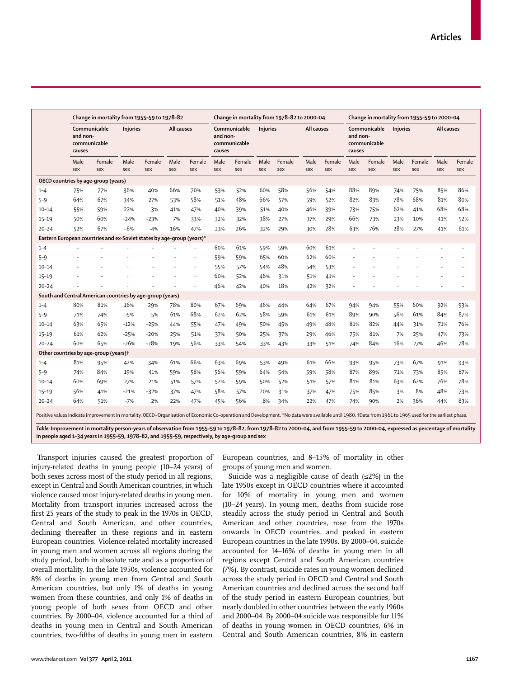|           | Change in mortality from 1955-59 to 1978-82                           |               |                 |               |             |               | Change in mortality from 1978-82 to 2000-04        |               |             |               |             |               | Change in mortality from 1955-59 to 2000-04        |               |                 |               |             |               |  |
|-----------|-----------------------------------------------------------------------|---------------|-----------------|---------------|-------------|---------------|----------------------------------------------------|---------------|-------------|---------------|-------------|---------------|----------------------------------------------------|---------------|-----------------|---------------|-------------|---------------|--|
|           | Communicable<br>and non-<br>communicable<br>causes                    |               | <b>Injuries</b> |               | All causes  |               | Communicable<br>and non-<br>communicable<br>causes |               | Injuries    |               | All causes  |               | Communicable<br>and non-<br>communicable<br>causes |               | <b>Injuries</b> |               | All causes  |               |  |
|           | Male<br>sex                                                           | Female<br>sex | Male<br>sex     | Female<br>sex | Male<br>sex | Female<br>sex | Male<br>sex                                        | Female<br>sex | Male<br>sex | Female<br>sex | Male<br>sex | Female<br>sex | Male<br>sex                                        | Female<br>sex | Male<br>sex     | Female<br>sex | Male<br>sex | Female<br>sex |  |
|           | OECD countries by age-group (years)                                   |               |                 |               |             |               |                                                    |               |             |               |             |               |                                                    |               |                 |               |             |               |  |
| $1 - 4$   | 75%                                                                   | 77%           | 36%             | 40%           | 66%         | 70%           | 53%                                                | 52%           | 60%         | 58%           | 56%         | 54%           | 88%                                                | 89%           | 74%             | 75%           | 85%         | 86%           |  |
| $5 - 9$   | 64%                                                                   | 67%           | 34%             | 27%           | 53%         | 58%           | 51%                                                | 48%           | 66%         | 57%           | 59%         | 52%           | 82%                                                | 83%           | 78%             | 68%           | 81%         | 80%           |  |
| $10 - 14$ | 55%                                                                   | 59%           | 22%             | 3%            | 41%         | 47%           | 40%                                                | 39%           | 51%         | 40%           | 46%         | 39%           | 73%                                                | 75%           | 62%             | 41%           | 68%         | 68%           |  |
| $15 - 19$ | 50%                                                                   | 60%           | $-24%$          | $-23%$        | 7%          | 33%           | 32%                                                | 32%           | 38%         | 27%           | 37%         | 29%           | 66%                                                | 73%           | 23%             | 10%           | 41%         | 52%           |  |
| $20 - 24$ | 52%                                                                   | 67%           | $-6%$           | $-4%$         | 16%         | 47%           | 23%                                                | 26%           | 32%         | 29%           | 30%         | 28%           | 63%                                                | 76%           | 28%             | 27%           | 41%         | 61%           |  |
|           | Eastern European countries and ex-Soviet states by age-group (years)* |               |                 |               |             |               |                                                    |               |             |               |             |               |                                                    |               |                 |               |             |               |  |
| $1 - 4$   |                                                                       |               |                 |               |             |               | 60%                                                | 61%           | 59%         | 59%           | 60%         | 61%           | $\ddotsc$                                          |               |                 |               |             | $\ddotsc$     |  |
| $5 - 9$   |                                                                       |               |                 |               |             |               | 59%                                                | 59%           | 65%         | 60%           | 62%         | 60%           |                                                    |               |                 |               |             |               |  |
| $10 - 14$ |                                                                       |               |                 |               |             | $\ddots$      | 55%                                                | 57%           | 54%         | 48%           | 54%         | 53%           |                                                    |               |                 |               |             | $\ddotsc$     |  |
| $15 - 19$ |                                                                       |               |                 |               |             | $\ddotsc$     | 60%                                                | 52%           | 46%         | 31%           | 51%         | 41%           | $\ddotsc$                                          |               |                 |               |             |               |  |
| $20 - 24$ |                                                                       |               |                 |               |             |               | 46%                                                | 42%           | 40%         | 18%           | 42%         | 32%           |                                                    |               |                 |               |             |               |  |
|           | South and Central American countries by age-group (years)             |               |                 |               |             |               |                                                    |               |             |               |             |               |                                                    |               |                 |               |             |               |  |
| $1 - 4$   | 80%                                                                   | 81%           | 16%             | 29%           | 78%         | 80%           | 67%                                                | 69%           | 46%         | 44%           | 64%         | 67%           | 94%                                                | 94%           | 55%             | 60%           | 92%         | 93%           |  |
| $5 - 9$   | 71%                                                                   | 74%           | $-5%$           | 5%            | 61%         | 68%           | 62%                                                | 62%           | 58%         | 59%           | 61%         | 61%           | 89%                                                | 90%           | 56%             | 61%           | 84%         | 87%           |  |
| $10 - 14$ | 63%                                                                   | 65%           | $-12%$          | $-25%$        | 44%         | 55%           | 47%                                                | 49%           | 50%         | 45%           | 49%         | 48%           | 81%                                                | 82%           | 44%             | 31%           | 71%         | 76%           |  |
| $15 - 19$ | 61%                                                                   | 62%           | $-25%$          | $-20%$        | 25%         | 51%           | 37%                                                | 50%           | 25%         | 37%           | 29%         | 46%           | 75%                                                | 81%           | 7%              | 25%           | 47%         | 73%           |  |
| $20 - 24$ | 60%                                                                   | 65%           | $-26%$          | $-28%$        | 19%         | 56%           | 33%                                                | 54%           | 33%         | 43%           | 33%         | 51%           | 74%                                                | 84%           | 16%             | 27%           | 46%         | 78%           |  |
|           | Other countries by age-group (years) <sup>†</sup>                     |               |                 |               |             |               |                                                    |               |             |               |             |               |                                                    |               |                 |               |             |               |  |
| $1 - 4$   | 81%                                                                   | 95%           | 42%             | 34%           | 61%         | 66%           | 63%                                                | 69%           | 53%         | 49%           | 61%         | 66%           | 93%                                                | 95%           | 73%             | 67%           | 91%         | 93%           |  |
| $5 - 9$   | 74%                                                                   | 84%           | 19%             | 41%           | 59%         | 58%           | 56%                                                | 59%           | 64%         | 54%           | 59%         | 58%           | 87%                                                | 89%           | 71%             | 73%           | 85%         | 87%           |  |
| $10 - 14$ | 60%                                                                   | 69%           | 27%             | 21%           | 51%         | 57%           | 52%                                                | 59%           | 50%         | 52%           | 51%         | 57%           | 81%                                                | 81%           | 63%             | 62%           | 76%         | 78%           |  |
| $15 - 19$ | 56%                                                                   | 41%           | $-21%$          | $-32%$        | 37%         | 47%           | 58%                                                | 57%           | 20%         | 31%           | 37%         | 47%           | 75%                                                | 85%           | 3%              | 8%            | 48%         | 73%           |  |
| $20 - 24$ | 64%                                                                   | 51%           | $-7%$           | 2%            | 22%         | 47%           | 45%                                                | 56%           | 8%          | 34%           | 22%         | 47%           | 74%                                                | 90%           | 2%              | 36%           | 44%         | 83%           |  |

itive values indicate improvement in mortality. OECD=Organisation of Economic Co-operation and Development. \*No data were available until 1980. †Data from 1961 to 1965 used for the earliest pha

*Table:* **Improvement in mortality person-years of observation from 1955–59 to 1978–82, from 1978–82 to 2000–04, and from 1955–59 to 2000–04, expressed as percentage of mortality in people aged 1–34 years in 1955–59, 1978–82, and 1955–59, respectively, by age-group and sex**

Transport injuries caused the greatest proportion of injury-related deaths in young people (10–24 years) of both sexes across most of the study period in all regions, except in Central and South American countries, in which violence caused most injury-related deaths in young men. Mortality from transport injuries increased across the first 25 years of the study to peak in the 1970s in OECD, Central and South American, and other countries, declining thereafter in these regions and in eastern European countries. Violence-related mortality increased in young men and women across all regions during the study period, both in absolute rate and as a proportion of overall mortality. In the late 1950s, violence accounted for 8% of deaths in young men from Central and South American countries, but only 1% of deaths in young women from these countries, and only 1% of deaths in young people of both sexes from OECD and other countries. By 2000–04, violence accounted for a third of deaths in young men in Central and South American countries, two-fifths of deaths in young men in eastern

European countries, and 8–15% of mortality in other groups of young men and women.

Suicide was a negligible cause of death (≤2%) in the late 1950s except in OECD countries where it accounted for 10% of mortality in young men and women (10–24 years). In young men, deaths from suicide rose steadily across the study period in Central and South American and other countries, rose from the 1970s onwards in OECD countries, and peaked in eastern European countries in the late 1990s. By 2000–04, suicide accounted for 14–16% of deaths in young men in all regions except Central and South American countries (7%). By contrast, suicide rates in young women declined across the study period in OECD and Central and South American countries and declined across the second half of the study period in eastern European countries, but nearly doubled in other countries between the early 1960s and 2000–04. By 2000–04 suicide was responsible for 11% of deaths in young women in OECD countries, 6% in Central and South American countries, 8% in eastern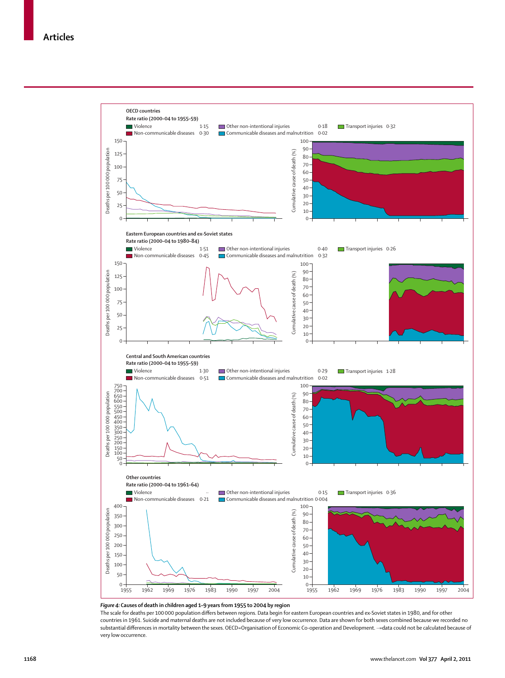

#### *Figure 4:* **Causes of death in children aged 1–9 years from 1955 to 2004 by region**

The scale for deaths per 100 000 population differs between regions. Data begin for eastern European countries and ex-Soviet states in 1980, and for other countries in 1961. Suicide and maternal deaths are not included because of very low occurrence. Data are shown for both sexes combined because we recorded no substantial differences in mortality between the sexes. OECD=Organisation of Economic Co-operation and Development. ··=data could not be calculated because of very low occurrence.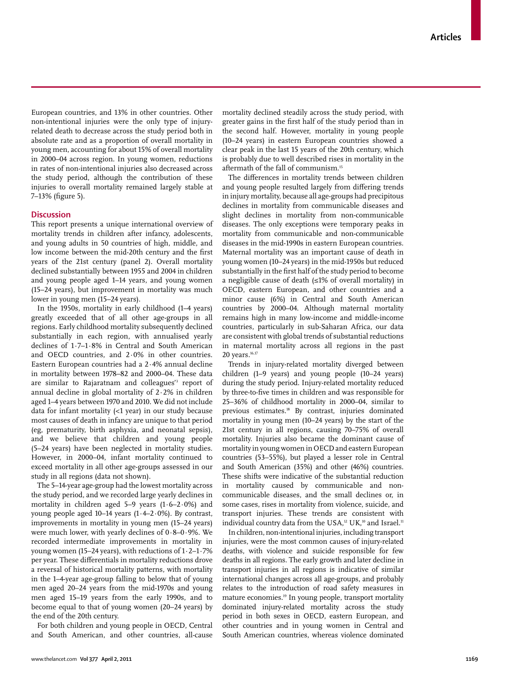European countries, and 13% in other countries. Other non-intentional injuries were the only type of injuryrelated death to decrease across the study period both in absolute rate and as a proportion of overall mortality in young men, accounting for about 15% of overall mortality in 2000–04 across region. In young women, reductions in rates of non-intentional injuries also decreased across the study period, although the contribution of these injuries to overall mortality remained largely stable at 7-13% (figure 5).

# **Discussion**

This report presents a unique international overview of mortality trends in children after infancy, adolescents, and young adults in 50 countries of high, middle, and low income between the mid-20th century and the first years of the 21st century (panel 2). Overall mortality declined substantially between 1955 and 2004 in children and young people aged 1–14 years, and young women (15–24 years), but improvement in mortality was much lower in young men (15–24 years).

In the 1950s, mortality in early childhood (1–4 years) greatly exceeded that of all other age-groups in all regions. Early childhood mortality subsequently declined substantially in each region, with annualised yearly declines of 1·7–1·8% in Central and South American and OECD countries, and 2·0% in other countries. Eastern European countries had a 2·4% annual decline in mortality between 1978–82 and 2000–04. These data are similar to Rajaratnam and colleagues'3 report of annual decline in global mortality of  $2.2\%$  in children aged 1–4 years between 1970 and 2010. We did not include data for infant mortality (<1 year) in our study because most causes of death in infancy are unique to that period (eg, prematurity, birth asphyxia, and neonatal sepsis), and we believe that children and young people (5–24 years) have been neglected in mortality studies. However, in 2000–04, infant mortality continued to exceed mortality in all other age-groups assessed in our study in all regions (data not shown).

The 5–14-year age-group had the lowest mortality across the study period, and we recorded large yearly declines in mortality in children aged  $5-9$  years  $(1.6-2.0%)$  and young people aged 10–14 years  $(1.4–2.0\%)$ . By contrast, improvements in mortality in young men (15–24 years) were much lower, with yearly declines of 0·8–0·9%. We recorded intermediate improvements in mortality in young women (15–24 years), with reductions of 1·2–1·7% per year. These differentials in mortality reductions drove a reversal of historical mortality patterns, with mortality in the 1–4-year age-group falling to below that of young men aged 20–24 years from the mid-1970s and young men aged 15–19 years from the early 1990s, and to become equal to that of young women (20–24 years) by the end of the 20th century.

For both children and young people in OECD, Central and South American, and other countries, all-cause mortality declined steadily across the study period, with greater gains in the first half of the study period than in the second half. However, mortality in young people (10–24 years) in eastern European countries showed a clear peak in the last 15 years of the 20th century, which is probably due to well described rises in mortality in the aftermath of the fall of communism.<sup>15</sup>

The differences in mortality trends between children and young people resulted largely from differing trends in injury mortality, because all age-groups had precipitous declines in mortality from communicable diseases and slight declines in mortality from non-communicable diseases. The only exceptions were temporary peaks in mortality from communicable and non-communicable diseases in the mid-1990s in eastern European countries. Maternal mortality was an important cause of death in young women (10–24 years) in the mid-1950s but reduced substantially in the first half of the study period to become a negligible cause of death (≤1% of overall mortality) in OECD, eastern European, and other countries and a minor cause (6%) in Central and South American countries by 2000–04. Although maternal mortality remains high in many low-income and middle-income countries, particularly in sub-Saharan Africa, our data are consistent with global trends of substantial reductions in maternal mortality across all regions in the past 20 years*.* 16,17

Trends in injury-related mortality diverged between children (1–9 years) and young people (10–24 years) during the study period. Injury-related mortality reduced by three-to-five times in children and was responsible for 25–36% of childhood mortality in 2000–04, similar to previous estimates.18 By contrast, injuries dominated mortality in young men (10–24 years) by the start of the 21st century in all regions, causing 70–75% of overall mortality. Injuries also became the dominant cause of mortality in young women in OECD and eastern European countries (53–55%), but played a lesser role in Central and South American (35%) and other (46%) countries. These shifts were indicative of the substantial reduction in mortality caused by communicable and noncommunicable diseases, and the small declines or, in some cases, rises in mortality from violence, suicide, and transport injuries. These trends are consistent with individual country data from the USA,<sup>12</sup> UK,<sup>10</sup> and Israel.<sup>11</sup>

In children, non-intentional injuries, including transport injuries, were the most common causes of injury-related deaths, with violence and suicide responsible for few deaths in all regions. The early growth and later decline in transport injuries in all regions is indicative of similar international changes across all age-groups, and probably relates to the introduction of road safety measures in mature economies.19 In young people, transport mortality dominated injury-related mortality across the study period in both sexes in OECD, eastern European, and other countries and in young women in Central and South American countries, whereas violence dominated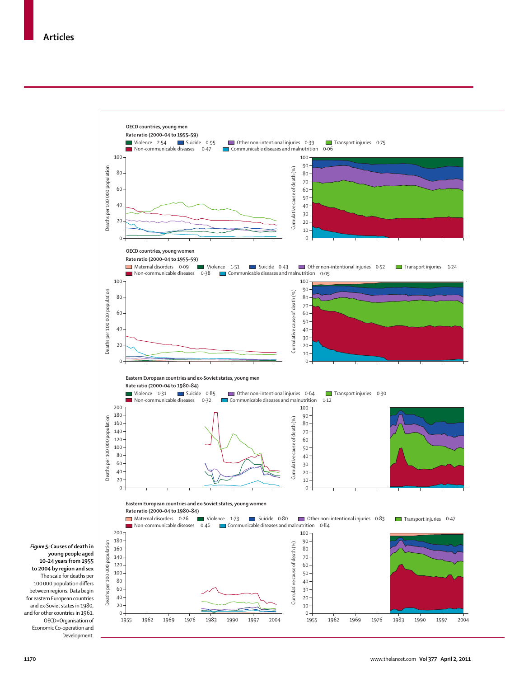

*Figure 5:* **Causes of death in young people aged 10–24 years from 1955 to 2004 by region and sex** The scale for deaths per 100 000 population differs between regions. Data begin for eastern European countries and ex-Soviet states in 1980, and for other countries in 1961. OECD=Organisation of Economic Co-operation and Development.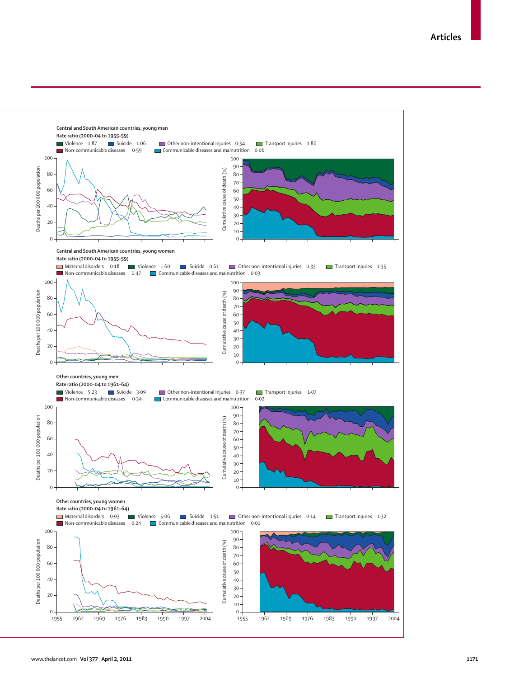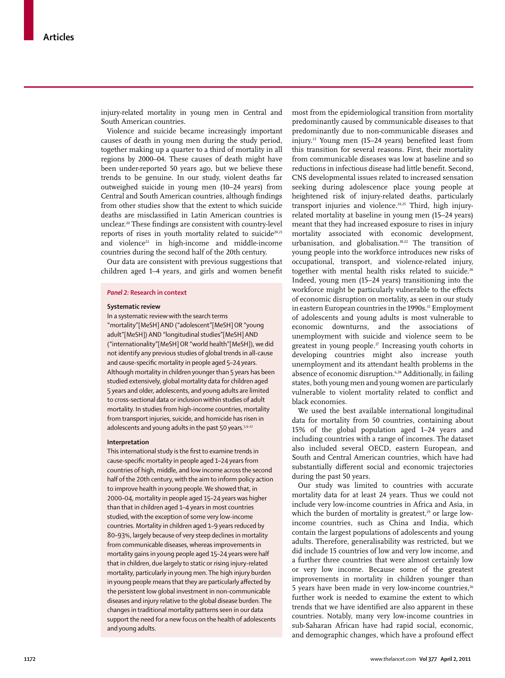injury-related mortality in young men in Central and South American countries.

Violence and suicide became increasingly important causes of death in young men during the study period, together making up a quarter to a third of mortality in all regions by 2000–04. These causes of death might have been under-reported 50 years ago, but we believe these trends to be genuine. In our study, violent deaths far outweighed suicide in young men (10–24 years) from Central and South American countries, although findings from other studies show that the extent to which suicide deaths are misclassified in Latin American countries is unclear.<sup>20</sup> These findings are consistent with country-level reports of rises in youth mortality related to suicide $20,21$ and violence<sup>22</sup> in high-income and middle-income countries during the second half of the 20th century.

Our data are consistent with previous suggestions that children aged 1–4 years, and girls and women benefit

# *Panel 2:* **Research in context**

#### **Systematic review**

In a systematic review with the search terms "mortality"[MeSH] AND ("adolescent"[MeSH] OR "young adult"[MeSH]) AND "longitudinal studies"[MeSH] AND ("internationality"[MeSH] OR "world health"[MeSH]), we did not identify any previous studies of global trends in all-cause and cause-specific mortality in people aged 5-24 years. Although mortality in children younger than 5 years has been studied extensively, global mortality data for children aged 5 years and older, adolescents, and young adults are limited to cross-sectional data or inclusion within studies of adult mortality. In studies from high-income countries, mortality from transport injuries, suicide, and homicide has risen in adolescents and young adults in the past 50 years.<sup>5,9-12</sup>

#### **Interpretation**

This international study is the first to examine trends in cause-specific mortality in people aged 1-24 years from countries of high, middle, and low income across the second half of the 20th century, with the aim to inform policy action to improve health in young people. We showed that, in 2000–04, mortality in people aged 15–24 years was higher than that in children aged 1–4 years in most countries studied, with the exception of some very low-income countries. Mortality in children aged 1–9 years reduced by 80–93%, largely because of very steep declines in mortality from communicable diseases, whereas improvements in mortality gains in young people aged 15–24 years were half that in children, due largely to static or rising injury-related mortality, particularly in young men. The high injury burden in young people means that they are particularly affected by the persistent low global investment in non-communicable diseases and injury relative to the global disease burden. The changes in traditional mortality patterns seen in our data support the need for a new focus on the health of adolescents and young adults.

most from the epidemiological transition from mortality predominantly caused by communicable diseases to that predominantly due to non-communicable diseases and injury.<sup>23</sup> Young men (15–24 years) benefited least from this transition for several reasons. First, their mortality from communicable diseases was low at baseline and so reductions in infectious disease had little benefit. Second, CNS developmental issues related to increased sensation seeking during adolescence place young people at heightened risk of injury-related deaths, particularly transport injuries and violence.<sup>24,25</sup> Third, high injuryrelated mortality at baseline in young men (15–24 years) meant that they had increased exposure to rises in injury mortality associated with economic development, urbanisation, and globalisation.<sup>18,22</sup> The transition of young people into the workforce introduces new risks of occupational, transport, and violence-related injury, together with mental health risks related to suicide.<sup>26</sup> Indeed, young men (15–24 years) transitioning into the workforce might be particularly vulnerable to the effects of economic disruption on mortality, as seen in our study in eastern European countries in the 1990s.<sup>15</sup> Employment of adolescents and young adults is most vulnerable to economic downturns, and the associations of unemployment with suicide and violence seem to be greatest in young people.<sup> $27$ </sup> Increasing youth cohorts in developing countries might also increase youth unemployment and its attendant health problems in the absence of economic disruption*.* 6,28 Additionally, in failing states, both young men and young women are particularly vulnerable to violent mortality related to conflict and black economies.

We used the best available international longitudinal data for mortality from 50 countries, containing about 15% of the global population aged 1–24 years and including countries with a range of incomes. The dataset also included several OECD, eastern European, and South and Central American countries, which have had substantially different social and economic trajectories during the past 50 years.

Our study was limited to countries with accurate mortality data for at least 24 years. Thus we could not include very low-income countries in Africa and Asia, in which the burden of mortality is greatest, $29$  or large lowincome countries, such as China and India, which contain the largest populations of adolescents and young adults. Therefore, generalisability was restricted, but we did include 15 countries of low and very low income, and a further three countries that were almost certainly low or very low income. Because some of the greatest improvements in mortality in children younger than 5 years have been made in very low-income countries,<sup>26</sup> further work is needed to examine the extent to which trends that we have identified are also apparent in these countries. Notably, many very low-income countries in sub-Saharan African have had rapid social, economic, and demographic changes, which have a profound effect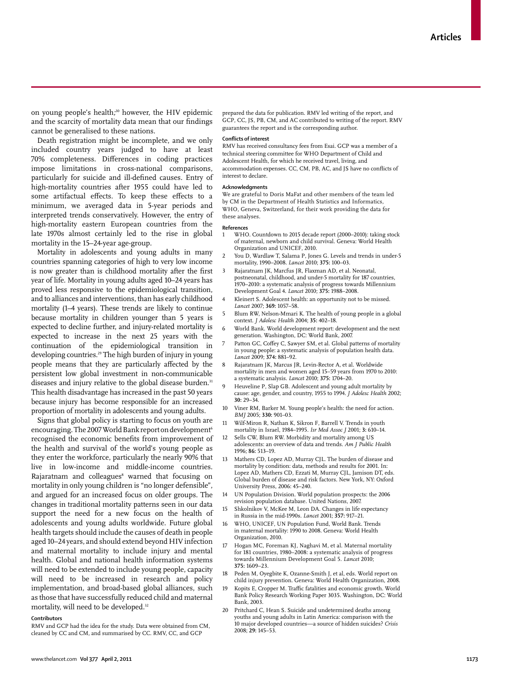on young people's health*;* 30 however, the HIV epidemic and the scarcity of mortality data mean that our findings cannot be generalised to these nations.

Death registration might be incomplete, and we only included country years judged to have at least 70% completeness. Differences in coding practices impose limitations in cross-national comparisons, particularly for suicide and ill-defined causes. Entry of high-mortality countries after 1955 could have led to some artifactual effects. To keep these effects to a minimum, we averaged data in 5-year periods and interpreted trends conservatively. However, the entry of high-mortality eastern European countries from the late 1970s almost certainly led to the rise in global mortality in the 15–24-year age-group.

Mortality in adolescents and young adults in many countries spanning categories of high to very low income is now greater than is childhood mortality after the first year of life. Mortality in young adults aged 10–24 years has proved less responsive to the epidemiological transition, and to alliances and interventions, than has early childhood mortality (1–4 years). These trends are likely to continue because mortality in children younger than 5 years is expected to decline further, and injury-related mortality is expected to increase in the next 25 years with the continuation of the epidemiological transition in developing countries.29 The high burden of injury in young people means that they are particularly affected by the persistent low global investment in non-communicable diseases and injury relative to the global disease burden.<sup>31</sup> This health disadvantage has increased in the past 50 years because injury has become responsible for an increased proportion of mortality in adolescents and young adults.

Signs that global policy is starting to focus on youth are encouraging. The 2007 World Bank report on development<sup>6</sup> recognised the economic benefits from improvement of the health and survival of the world's young people as they enter the workforce, particularly the nearly 90% that live in low-income and middle-income countries. Rajaratnam and colleagues<sup>8</sup> warned that focusing on mortality in only young children is "no longer defensible", and argued for an increased focus on older groups. The changes in traditional mortality patterns seen in our data support the need for a new focus on the health of adolescents and young adults worldwide. Future global health targets should include the causes of death in people aged 10–24 years, and should extend beyond HIV infection and maternal mortality to include injury and mental health. Global and national health information systems will need to be extended to include young people, capacity will need to be increased in research and policy implementation, and broad-based global alliances, such as those that have successfully reduced child and maternal mortality, will need to be developed*.* 32

## **Contributors**

RMV and GCP had the idea for the study. Data were obtained from CM, cleaned by CC and CM, and summarised by CC. RMV, CC, and GCP

prepared the data for publication. RMV led writing of the report, and GCP, CC, JS, PB, CM, and AC contributed to writing of the report. RMV guarantees the report and is the corresponding author.

#### **Conflicts of interest**

RMV has received consultancy fees from Esai. GCP was a member of a technical steering committee for WHO Department of Child and Adolescent Health, for which he received travel, living, and accommodation expenses. CC, CM, PB, AC, and JS have no conflicts of interest to declare.

#### **Acknowledgments**

We are grateful to Doris MaFat and other members of the team led by CM in the Department of Health Statistics and Informatics, WHO, Geneva, Switzerland, for their work providing the data for these analyses.

#### **References**

- 1 WHO. Countdown to 2015 decade report (2000–2010): taking stock of maternal, newborn and child survival. Geneva: World Health Organization and UNICEF, 2010.
- 2 You D, Wardlaw T, Salama P, Jones G. Levels and trends in under-5 mortality, 1990–2008. *Lancet* 2010; **375:** 100–03.
- Rajaratnam JK, Marcfus JR, Flaxman AD, et al. Neonatal, postneonatal, childhood, and under-5 mortality for 187 countries, 1970–2010: a systematic analysis of progress towards Millennium Development Goal 4. *Lancet* 2010; **375:** 1988–2008.
- Kleinert S. Adolescent health: an opportunity not to be missed. *Lancet* 2007; **369:** 1057–58.
- 5 Blum RW, Nelson-Mmari K. The health of young people in a global context. *J Adolesc Health* 2004; **35:** 402–18.
- 6 World Bank. World development report: development and the next generation. Washington, DC: World Bank, 2007.
- Patton GC, Coffey C, Sawyer SM, et al. Global patterns of mortality in young people: a systematic analysis of population health data. *Lancet* 2009; **374:** 881–92.
- 8 Rajaratnam JK, Marcus JR, Levin-Rector A, et al. Worldwide mortality in men and women aged 15–59 years from 1970 to 2010: a systematic analysis. *Lancet* 2010; **375:** 1704–20.
- 9 Heuveline P, Slap GB. Adolescent and young adult mortality by cause: age, gender, and country, 1955 to 1994. *J Adolesc Health* 2002; **30:** 29–34.
- 10 Viner RM, Barker M. Young people's health: the need for action. *BMJ* 2005; **330:** 901–03.
- Wilf-Miron R, Nathan K, Sikron F, Barrell V. Trends in youth mortality in Israel, 1984–1995. *Isr Med Assoc J* 2001; **3:** 610–14.
- 12 Sells CW, Blum RW. Morbidity and mortality among US adolescents: an overview of data and trends. *Am J Public Health* 1996; **86:** 513–19.
- Mathers CD, Lopez AD, Murray CJL. The burden of disease and mortality by condition: data, methods and results for 2001. In: Lopez AD, Mathers CD, Ezzati M, Murray CJL, Jamison DT, eds. Global burden of disease and risk factors. New York, NY: Oxford University Press, 2006: 45–240.
- 14 UN Population Division. World population prospects: the 2006 revision population database. United Nations, 2007.
- Shkolnikov V, McKee M, Leon DA. Changes in life expectancy in Russia in the mid-1990s. *Lancet* 2001; **357:** 917–21.
- 16 WHO, UNICEF, UN Population Fund, World Bank. Trends in maternal mortality: 1990 to 2008. Geneva: World Health Organization, 2010.
- Hogan MC, Foreman KJ, Naghavi M, et al. Maternal mortality for 181 countries, 1980–2008: a systematic analysis of progress towards Millennium Development Goal 5. *Lancet* 2010; **375:** 1609–23.
- 18 Peden M, Oyegbite K, Ozanne-Smith J, et al, eds. World report on child injury prevention. Geneva: World Health Organization, 2008.
- 19 Kopits E, Cropper M. Traffic fatalities and economic growth. World Bank Policy Research Working Paper 3035. Washington, DC: World Bank, 2003.
- 20 Pritchard C, Hean S. Suicide and undetermined deaths among youths and young adults in Latin America: comparison with the 10 major developed countries—a source of hidden suicides? *Crisis* 2008; **29:** 145–53.